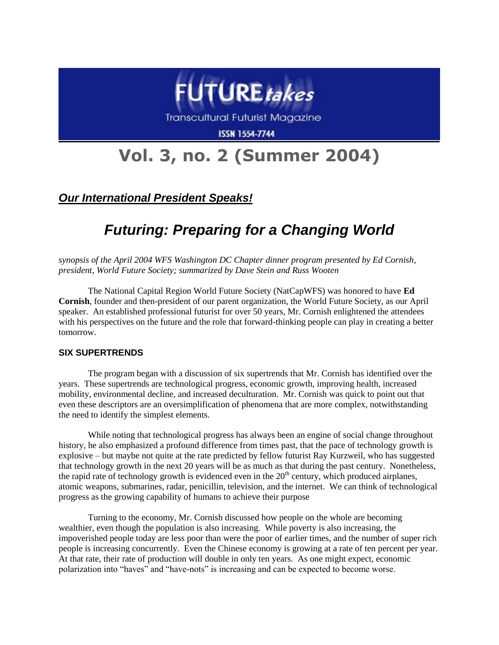

**Transcultural Futurist Magazine** 

**ISSN 1554-7744** 

# **Vol. 3, no. 2 (Summer 2004)**

### *Our International President Speaks!*

## *Futuring: Preparing for a Changing World*

*synopsis of the April 2004 WFS Washington DC Chapter dinner program presented by Ed Cornish, president, World Future Society; summarized by Dave Stein and Russ Wooten*

The National Capital Region World Future Society (NatCapWFS) was honored to have **Ed Cornish**, founder and then-president of our parent organization, the World Future Society, as our April speaker. An established professional futurist for over 50 years, Mr. Cornish enlightened the attendees with his perspectives on the future and the role that forward-thinking people can play in creating a better tomorrow.

#### **SIX SUPERTRENDS**

The program began with a discussion of six supertrends that Mr. Cornish has identified over the years. These supertrends are technological progress, economic growth, improving health, increased mobility, environmental decline, and increased deculturation. Mr. Cornish was quick to point out that even these descriptors are an oversimplification of phenomena that are more complex, notwithstanding the need to identify the simplest elements.

While noting that technological progress has always been an engine of social change throughout history, he also emphasized a profound difference from times past, that the pace of technology growth is explosive – but maybe not quite at the rate predicted by fellow futurist Ray Kurzweil, who has suggested that technology growth in the next 20 years will be as much as that during the past century. Nonetheless, the rapid rate of technology growth is evidenced even in the  $20<sup>th</sup>$  century, which produced airplanes, atomic weapons, submarines, radar, penicillin, television, and the internet. We can think of technological progress as the growing capability of humans to achieve their purpose

Turning to the economy, Mr. Cornish discussed how people on the whole are becoming wealthier, even though the population is also increasing. While poverty is also increasing, the impoverished people today are less poor than were the poor of earlier times, and the number of super rich people is increasing concurrently. Even the Chinese economy is growing at a rate of ten percent per year. At that rate, their rate of production will double in only ten years. As one might expect, economic polarization into "haves" and "have-nots" is increasing and can be expected to become worse.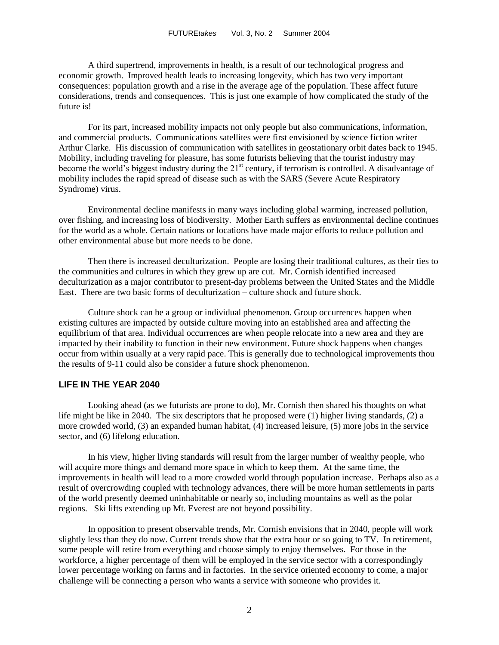A third supertrend, improvements in health, is a result of our technological progress and economic growth. Improved health leads to increasing longevity, which has two very important consequences: population growth and a rise in the average age of the population. These affect future considerations, trends and consequences. This is just one example of how complicated the study of the future is!

For its part, increased mobility impacts not only people but also communications, information, and commercial products. Communications satellites were first envisioned by science fiction writer Arthur Clarke. His discussion of communication with satellites in geostationary orbit dates back to 1945. Mobility, including traveling for pleasure, has some futurists believing that the tourist industry may become the world's biggest industry during the 21<sup>st</sup> century, if terrorism is controlled. A disadvantage of mobility includes the rapid spread of disease such as with the SARS (Severe Acute Respiratory Syndrome) virus.

Environmental decline manifests in many ways including global warming, increased pollution, over fishing, and increasing loss of biodiversity. Mother Earth suffers as environmental decline continues for the world as a whole. Certain nations or locations have made major efforts to reduce pollution and other environmental abuse but more needs to be done.

Then there is increased deculturization. People are losing their traditional cultures, as their ties to the communities and cultures in which they grew up are cut. Mr. Cornish identified increased deculturization as a major contributor to present-day problems between the United States and the Middle East. There are two basic forms of deculturization – culture shock and future shock.

Culture shock can be a group or individual phenomenon. Group occurrences happen when existing cultures are impacted by outside culture moving into an established area and affecting the equilibrium of that area. Individual occurrences are when people relocate into a new area and they are impacted by their inability to function in their new environment. Future shock happens when changes occur from within usually at a very rapid pace. This is generally due to technological improvements thou the results of 9-11 could also be consider a future shock phenomenon.

#### **LIFE IN THE YEAR 2040**

Looking ahead (as we futurists are prone to do), Mr. Cornish then shared his thoughts on what life might be like in 2040. The six descriptors that he proposed were (1) higher living standards, (2) a more crowded world, (3) an expanded human habitat, (4) increased leisure, (5) more jobs in the service sector, and (6) lifelong education.

In his view, higher living standards will result from the larger number of wealthy people, who will acquire more things and demand more space in which to keep them. At the same time, the improvements in health will lead to a more crowded world through population increase. Perhaps also as a result of overcrowding coupled with technology advances, there will be more human settlements in parts of the world presently deemed uninhabitable or nearly so, including mountains as well as the polar regions. Ski lifts extending up Mt. Everest are not beyond possibility.

In opposition to present observable trends, Mr. Cornish envisions that in 2040, people will work slightly less than they do now. Current trends show that the extra hour or so going to TV. In retirement, some people will retire from everything and choose simply to enjoy themselves. For those in the workforce, a higher percentage of them will be employed in the service sector with a correspondingly lower percentage working on farms and in factories. In the service oriented economy to come, a major challenge will be connecting a person who wants a service with someone who provides it.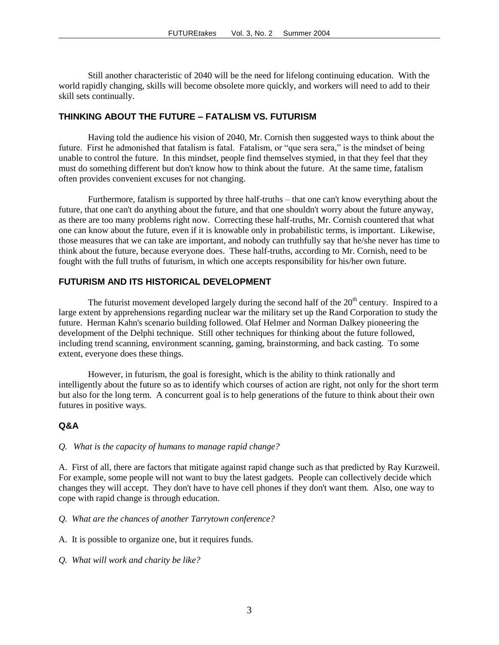Still another characteristic of 2040 will be the need for lifelong continuing education. With the world rapidly changing, skills will become obsolete more quickly, and workers will need to add to their skill sets continually.

#### **THINKING ABOUT THE FUTURE – FATALISM VS. FUTURISM**

Having told the audience his vision of 2040, Mr. Cornish then suggested ways to think about the future. First he admonished that fatalism is fatal. Fatalism, or "que sera sera," is the mindset of being unable to control the future. In this mindset, people find themselves stymied, in that they feel that they must do something different but don't know how to think about the future. At the same time, fatalism often provides convenient excuses for not changing.

Furthermore, fatalism is supported by three half-truths – that one can't know everything about the future, that one can't do anything about the future, and that one shouldn't worry about the future anyway, as there are too many problems right now. Correcting these half-truths, Mr. Cornish countered that what one can know about the future, even if it is knowable only in probabilistic terms, is important. Likewise, those measures that we can take are important, and nobody can truthfully say that he/she never has time to think about the future, because everyone does. These half-truths, according to Mr. Cornish, need to be fought with the full truths of futurism, in which one accepts responsibility for his/her own future.

#### **FUTURISM AND ITS HISTORICAL DEVELOPMENT**

The futurist movement developed largely during the second half of the  $20<sup>th</sup>$  century. Inspired to a large extent by apprehensions regarding nuclear war the military set up the Rand Corporation to study the future. Herman Kahn's scenario building followed. Olaf Helmer and Norman Dalkey pioneering the development of the Delphi technique. Still other techniques for thinking about the future followed, including trend scanning, environment scanning, gaming, brainstorming, and back casting. To some extent, everyone does these things.

However, in futurism, the goal is foresight, which is the ability to think rationally and intelligently about the future so as to identify which courses of action are right, not only for the short term but also for the long term. A concurrent goal is to help generations of the future to think about their own futures in positive ways.

#### **Q&A**

#### *Q. What is the capacity of humans to manage rapid change?*

A. First of all, there are factors that mitigate against rapid change such as that predicted by Ray Kurzweil. For example, some people will not want to buy the latest gadgets. People can collectively decide which changes they will accept. They don't have to have cell phones if they don't want them. Also, one way to cope with rapid change is through education.

#### *Q. What are the chances of another Tarrytown conference?*

- A. It is possible to organize one, but it requires funds.
- *Q. What will work and charity be like?*